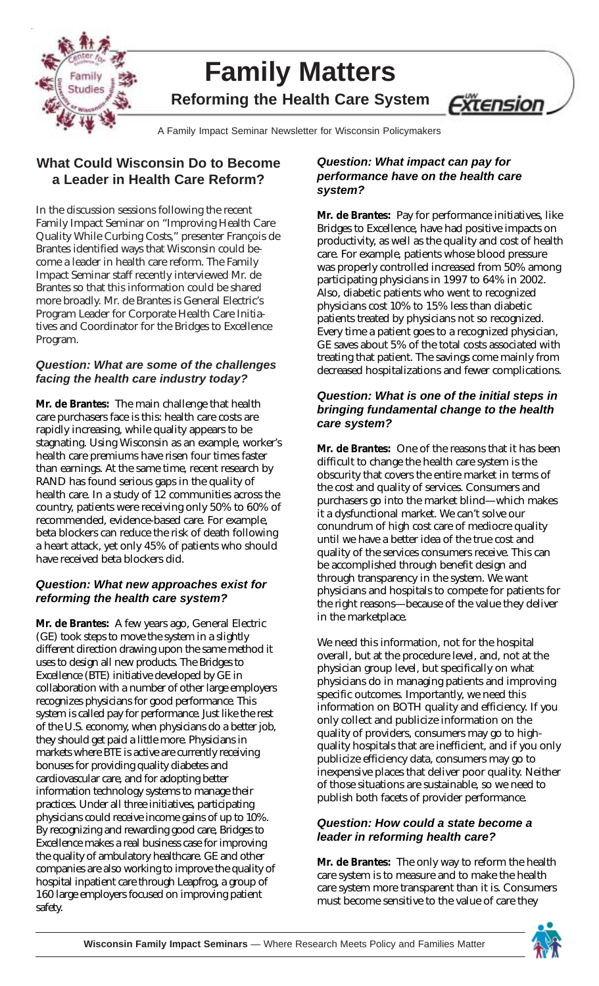

# **Family Matters Reforming the Health Care System**

<u>Extension</u>

A Family Impact Seminar Newsletter for Wisconsin Policymakers A Family Impact Seminar Newsletter for Wisconsin Policymakers

## **What Could Wisconsin Do to Become a Leader in Health Care Reform?**

In the discussion sessions following the recent Family Impact Seminar on "Improving Health Care Quality While Curbing Costs," presenter François de Brantes identified ways that Wisconsin could become a leader in health care reform. The Family Impact Seminar staff recently interviewed Mr. de Brantes so that this information could be shared more broadly. Mr. de Brantes is General Electric's Program Leader for Corporate Health Care Initiatives and Coordinator for the Bridges to Excellence Program.

#### *Question: What are some of the challenges facing the health care industry today?*

**Mr. de Brantes:** The main challenge that health care purchasers face is this: health care costs are rapidly increasing, while quality appears to be stagnating. Using Wisconsin as an example, worker's health care premiums have risen four times faster than earnings. At the same time, recent research by RAND has found serious gaps in the quality of health care. In a study of 12 communities across the country, patients were receiving only 50% to 60% of recommended, evidence-based care. For example, beta blockers can reduce the risk of death following a heart attack, yet only 45% of patients who should have received beta blockers did.

#### *Question: What new approaches exist for reforming the health care system?*

**Mr. de Brantes:** A few years ago, General Electric (GE) took steps to move the system in a slightly different direction drawing upon the same method it uses to design all new products. The Bridges to Excellence (BTE) initiative developed by GE in collaboration with a number of other large employers recognizes physicians for good performance. This system is called pay for performance. Just like the rest of the U.S. economy, when physicians do a better job, they should get paid a little more. Physicians in markets where BTE is active are currently receiving bonuses for providing quality diabetes and cardiovascular care, and for adopting better information technology systems to manage their practices. Under all three initiatives, participating physicians could receive income gains of up to 10%. By recognizing and rewarding good care, Bridges to Excellence makes a real business case for improving the quality of ambulatory healthcare. GE and other companies are also working to improve the quality of hospital inpatient care through Leapfrog, a group of 160 large employers focused on improving patient safety.

#### *Question: What impact can pay for performance have on the health care system?*

**Mr. de Brantes:** Pay for performance initiatives, like Bridges to Excellence, have had positive impacts on productivity, as well as the quality and cost of health care. For example, patients whose blood pressure was properly controlled increased from 50% among participating physicians in 1997 to 64% in 2002. Also, diabetic patients who went to recognized physicians cost 10% to 15% less than diabetic patients treated by physicians not so recognized. Every time a patient goes to a recognized physician, GE saves about 5% of the total costs associated with treating that patient. The savings come mainly from decreased hospitalizations and fewer complications.

#### *Question: What is one of the initial steps in bringing fundamental change to the health care system?*

**Mr. de Brantes:** One of the reasons that it has been difficult to change the health care system is the obscurity that covers the entire market in terms of the cost and quality of services. Consumers and purchasers go into the market blind—which makes it a dysfunctional market. We can't solve our conundrum of high cost care of mediocre quality until we have a better idea of the true cost and quality of the services consumers receive. This can be accomplished through benefit design and through transparency in the system. We want physicians and hospitals to compete for patients for the right reasons—because of the value they deliver in the marketplace.

We need this information, not for the hospital overall, but at the procedure level, and, not at the physician group level, but specifically on what physicians do in managing patients and improving specific outcomes. Importantly, we need this information on BOTH quality and efficiency. If you only collect and publicize information on the quality of providers, consumers may go to highquality hospitals that are inefficient, and if you only publicize efficiency data, consumers may go to inexpensive places that deliver poor quality. Neither of those situations are sustainable, so we need to publish both facets of provider performance.

#### *Question: How could a state become a leader in reforming health care?*

**Mr. de Brantes:** The only way to reform the health care system is to measure and to make the health care system more transparent than it is. Consumers must become sensitive to the value of care they